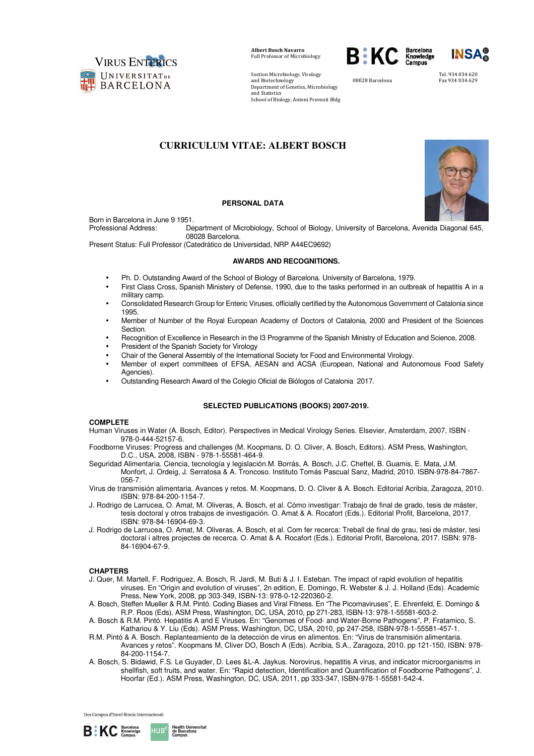

Section Microbiology, Virology and Biotechnology Department of Genetics, Microbiology and Statistics School of Biology, Antoni Prevosti Bldg



.<br>08028 Barcelona

Tel. 934 034 620 Fax 934 034 629

# **CURRICULUM VITAE: ALBERT BOSCH**



## **PERSONAL DATA**

Born in Barcelona in June 9 1951.

Professional Address: Department of Microbiology, School of Biology, University of Barcelona, Avenida Diagonal 645, 08028 Barcelona.

Present Status: Full Professor (Catedrático de Universidad, NRP A44EC9692)

#### **AWARDS AND RECOGNITIONS.**

- Ph. D. Outstanding Award of the School of Biology of Barcelona. University of Barcelona, 1979.
- First Class Cross, Spanish Ministery of Defense, 1990, due to the tasks performed in an outbreak of hepatitis A in a military camp.
- Consolidated Research Group for Enteric Viruses, officially certified by the Autonomous Government of Catalonia since 1995.
- Member of Number of the Royal European Academy of Doctors of Catalonia, 2000 and President of the Sciences Section.
- Recognition of Excellence in Research in the I3 Programme of the Spanish Ministry of Education and Science, 2008.
- President of the Spanish Society for Virology
- Chair of the General Assembly of the International Society for Food and Environmental Virology.
- Member of expert committees of EFSA, AESAN and ACSA (European, National and Autonomous Food Safety Agencies).
- Outstanding Research Award of the Colegio Oficial de Biólogos of Catalonia 2017.

### **SELECTED PUBLICATIONS (BOOKS) 2007-2019.**

### **COMPLETE**

- Human Viruses in Water (A. Bosch, Editor). Perspectives in Medical Virology Series. Elsevier, Amsterdam, 2007, ISBN 978-0-444-52157-6.
- Foodborne Viruses: Progress and challenges (M. Koopmans, D. O. Cliver, A. Bosch, Editors). ASM Press, Washington, D.C., USA, 2008, ISBN - 978-1-55581-464-9.
- Seguridad Alimentaria. Ciencia, tecnología y legislación.M. Borrás, A. Bosch, J.C. Cheftel, B. Guamis, E. Mata, J.M. Monfort, J. Ordeig, J. Serratosa & A. Troncoso. Instituto Tomás Pascual Sanz, Madrid, 2010. ISBN-978-84-7867- 056-7.
- Virus de transmisión alimentaria. Avances y retos. M. Koopmans, D. O. Cliver & A. Bosch. Editorial Acribia, Zaragoza, 2010. ISBN: 978-84-200-1154-7.
- J. Rodrigo de Larrucea, O. Amat, M. Oliveras, A. Bosch, et al. Cómo investigar: Trabajo de final de grado, tesis de máster, tesis doctoral y otros trabajos de investigación. O. Amat & A. Rocafort (Eds.). Editorial Profit, Barcelona, 2017. ISBN: 978-84-16904-69-3.
- J. Rodrigo de Larrucea, O. Amat, M. Oliveras, A. Bosch, et al. Com fer recerca: Treball de final de grau, tesi de màster, tesi doctoral i altres projectes de recerca. O. Amat & A. Rocafort (Eds.). Editorial Profit, Barcelona, 2017. ISBN: 978- 84-16904-67-9.

### **CHAPTERS**

- J. Quer, M. Martell, F. Rodriguez, A. Bosch, R. Jardi, M. Buti & J. I. Esteban. The impact of rapid evolution of hepatitis viruses. En "Origin and evolution of viruses", 2n edition, E. Domingo, R. Webster & J. J. Holland (Eds). Academic Press, New York, 2008, pp 303-349, ISBN-13: 978-0-12-220360-2.
- A. Bosch, Steffen Mueller & R.M. Pintó. Coding Biases and Viral Fitness. En "The Picornaviruses", E. Ehrenfeld, E. Domingo & R.P. Roos (Eds). ASM Press, Washington, DC, USA, 2010, pp 271-283, ISBN-13: 978-1-55581-603-2.
- A. Bosch & R.M. Pintó. Hepatitis A and E Viruses. En: "Genomes of Food- and Water-Borne Pathogens", P. Fratamico, S. Kathariou & Y. Liu (Eds). ASM Press, Washington, DC, USA, 2010, pp 247-258, ISBN-978-1-55581-457-1.
- R.M. Pintó & A. Bosch. Replanteamiento de la detección de virus en alimentos. En: "Virus de transmisión alimentaria. Avances y retos". Koopmans M, Cliver DO, Bosch A (Eds). Acribia, S.A., Zaragoza, 2010. pp 121-150, ISBN: 978- 84-200-1154-7.
- A. Bosch, S. Bidawid, F.S. Le Guyader, D. Lees &L-A. Jaykus. Norovirus, hepatitis A virus, and indicator microorganisms in shellfish, soft fruits, and water. En: "Rapid detection, Identification and Quantification of Foodborne Pathogens", J. Hoorfar (Ed.). ASM Press, Washington, DC, USA, 2011, pp 333-347, ISBN-978-1-55581-542-4.

Dos Campus d'Excel·lència Internacional:



HUB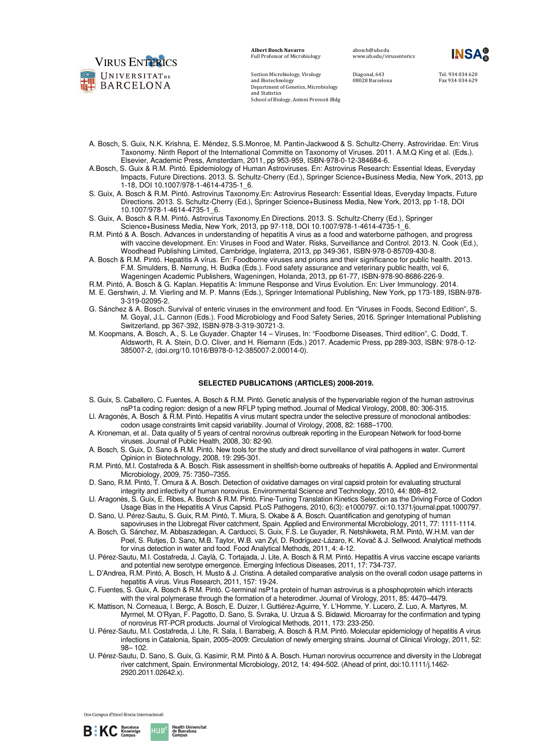

Section Microbiology, Virology and Biotechnology

and Statistics

Department of Genetics, Microbiology

School of Biology, Antoni Prevosti Bldg

abosch@ub.edu www.ub.edu/virusenterics

Diagonal, 643 08028 Barcelona Tel. 934 034 620 Fax 934 034 629

- A. Bosch, S. Guix, N.K. Krishna, E. Méndez, S.S.Monroe, M. Pantin-Jackwood & S. Schultz-Cherry. Astroviridae. En: Virus Taxonomy. Ninth Report of the International Committe on Taxonomy of Viruses. 2011. A.M.Q King et al. (Eds.). Elsevier, Academic Press, Amsterdam, 2011, pp 953-959, ISBN-978-0-12-384684-6.
- A.Bosch, S. Guix & R.M. Pintó. Epidemiology of Human Astroviruses. En: Astrovirus Research: Essential Ideas, Everyday Impacts, Future Directions. 2013. S. Schultz-Cherry (Ed.), Springer Science+Business Media, New York, 2013, pp 1-18, DOI 10.1007/978-1-4614-4735-1\_6.
- S. Guix, A. Bosch & R.M. Pintó. Astrovirus Taxonomy.En: Astrovirus Research: Essential Ideas, Everyday Impacts, Future Directions. 2013. S. Schultz-Cherry (Ed.), Springer Science+Business Media, New York, 2013, pp 1-18, DOI 10.1007/978-1-4614-4735-1\_6.
- S. Guix, A. Bosch & R.M. Pintó. Astrovirus Taxonomy.En Directions. 2013. S. Schultz-Cherry (Ed.), Springer Science+Business Media, New York, 2013, pp 97-118, DOI 10.1007/978-1-4614-4735-1\_6.
- R.M. Pintó & A. Bosch. Advances in understanding of hepatitis A virus as a food and waterborne pathogen, and progress with vaccine development. En: Viruses in Food and Water. Risks, Surveillance and Control. 2013. N. Cook (Ed.), Woodhead Publishing Limited, Cambridge, Inglaterra, 2013, pp 349-361, ISBN-978-0-85709-430-8.
- A. Bosch & R.M. Pintó. Hepatitis A vírus. En: Foodborne viruses and prions and their significance for public health. 2013. F.M. Smulders, B. Nørrung, H. Budka (Eds.). Food safety assurance and veterinary public health, vol 6, Wageningen Academic Publishers, Wageningen, Holanda, 2013, pp 61-77, ISBN-978-90-8686-226-9.
- R.M. Pintó, A. Bosch & G. Kaplan. Hepatitis A: Immune Response and Virus Evolution. En: Liver Immunology. 2014.
- M. E. Gershwin, J. M. Vierling and M. P. Manns (Eds.), Springer International Publishing, New York, pp 173-189, ISBN-978- 3-319-02095-2.
- G. Sánchez & A. Bosch. Survival of enteric viruses in the environment and food. En "Viruses in Foods, Second Edition", S. M. Goyal, J.L. Cannon (Eds.). Food Microbiology and Food Safety Series, 2016. Springer International Publishing Switzerland, pp 367-392, ISBN-978-3-319-30721-3.
- M. Koopmans, A. Bosch, A., S. Le Guyader. Chapter 14 Viruses, In: "Foodborne Diseases, Third edition", C. Dodd, T. Aldsworth, R. A. Stein, D.O. Cliver, and H. Riemann (Eds.) 2017. Academic Press, pp 289-303, ISBN: 978-0-12- 385007-2, (doi.org/10.1016/B978-0-12-385007-2.00014-0).

### **SELECTED PUBLICATIONS (ARTICLES) 2008-2019.**

- S. Guix, S. Caballero, C. Fuentes, A. Bosch & R.M. Pintó. Genetic analysis of the hypervariable region of the human astrovirus nsP1a coding region: design of a new RFLP typing method. Journal of Medical Virology, 2008, 80: 306-315.
- Ll. Aragonès, A. Bosch & R.M. Pintó. Hepatitis A virus mutant spectra under the selective pressure of monoclonal antibodies: codon usage constraints limit capsid variability. Journal of Virology, 2008, 82: 1688–1700.
- A. Kroneman, et al.. Data quality of 5 years of central norovirus outbreak reporting in the European Network for food-borne viruses. Journal of Public Health, 2008, 30: 82-90.
- A. Bosch, S. Guix, D. Sano & R.M. Pintó. New tools for the study and direct surveillance of viral pathogens in water. Current Opinion in Biotechnology, 2008, 19: 295-301.
- R.M. Pintó, M.I. Costafreda & A. Bosch. Risk assessment in shellfish-borne outbreaks of hepatitis A. Applied and Environmental Microbiology, 2009, 75: 7350–7355.
- D. Sano, R.M. Pintó, T. Omura & A. Bosch. Detection of oxidative damages on viral capsid protein for evaluating structural integrity and infectivity of human norovirus. Environmental Science and Technology, 2010, 44: 808–812.
- Ll. Aragonès, S. Guix, E. Ribes, A. Bosch & R.M. Pintó. Fine-Tuning Translation Kinetics Selection as the Driving Force of Codon Usage Bias in the Hepatitis A Virus Capsid. PLoS Pathogens, 2010, 6(3): e1000797. oi:10.1371/journal.ppat.1000797.
- D. Sano, U. Pérez-Sautu, S. Guix, R.M. Pintó, T. Miura, S. Okabe & A. Bosch. Quantification and genotyping of human sapoviruses in the Llobregat River catchment, Spain. Applied and Environmental Microbiology, 2011, 77: 1111-1114.
- A. Bosch, G. Sánchez, M. Abbaszadegan, A. Carducci, S. Guix, F.S. Le Guyader, R. Netshikweta, R.M. Pintó, W.H.M. van der Poel, S. Rutjes, D. Sano, M.B. Taylor, W.B. van Zyl, D. Rodríguez-Lázaro, K. Kovač & J. Sellwood. Analytical methods for virus detection in water and food. Food Analytical Methods, 2011, 4: 4-12.
- U. Pérez-Sautu, M.I. Costafreda, J. Caylà, C. Tortajada, J. Lite, A. Bosch & R.M. Pintó. Hepatitis A virus vaccine escape variants and potential new serotype emergence. Emerging Infectious Diseases, 2011, 17: 734-737.
- L. D'Andrea, R.M. Pintó, A. Bosch, H. Musto & J. Cristina. A detailed comparative analysis on the overall codon usage patterns in hepatitis A virus. Virus Research, 2011, 157: 19-24.
- C. Fuentes, S. Guix, A. Bosch & R.M. Pintó. C-terminal nsP1a protein of human astrovirus is a phosphoprotein which interacts with the viral polymerase through the formation of a heterodimer. Journal of Virology, 2011, 85: 4470–4479.
- K. Mattison, N. Corneaua, I. Bergc, A. Bosch, E. Duizer, I. Guttiérez-Aguirre, Y. L'Homme, Y. Lucero, Z. Luo, A. Martyres, M. Myrmel, M. O'Ryan, F. Pagotto, D. Sano, S. Svraka, U. Urzua & S. Bidawid. Microarray for the confirmation and typing of norovirus RT-PCR products. Journal of Virological Methods, 2011, 173: 233-250.
- U. Pérez-Sautu, M.I. Costafreda, J. Lite, R. Sala, I. Barrabeig, A. Bosch & R.M. Pintó. Molecular epidemiology of hepatitis A virus infections in Catalonia, Spain, 2005–2009: Circulation of newly emerging strains. Journal of Clinical Virology, 2011, 52: 98– 102.
- U. Pérez-Sautu, D. Sano, S. Guix, G. Kasimir, R.M. Pintó & A. Bosch. Human norovirus occurrence and diversity in the Llobregat river catchment, Spain. Environmental Microbiology, 2012, 14: 494-502. (Ahead of print, doi:10.1111/j.1462- 2920.2011.02642.x).



HUB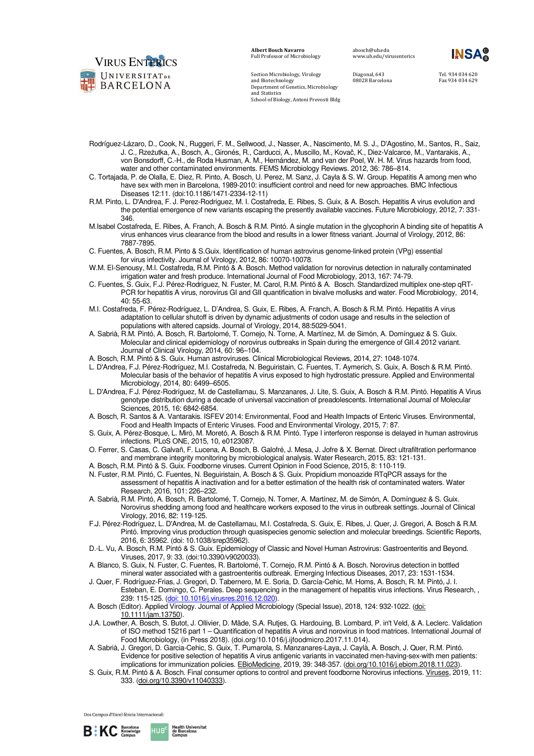

Section Microbiology, Virology and Biotechnology

Department of Genetics, Microbiology and Statistics School of Biology, Antoni Prevosti Bldg

abosch@ub.edu www.ub.edu/virusenterics

Diagonal, 643 08028 Barcelona Tel. 934 034 620 Fax 934 034 629

- Rodríguez-Lázaro, D., Cook, N., Ruggeri, F. M., Sellwood, J., Nasser, A., Nascimento, M. S. J., D'Agostino, M., Santos, R., Saiz, J. C., Rzeżutka, A., Bosch, A., Gironés, R., Carducci, A., Muscillo, M., Kovač, K., Diez-Valcarce, M., Vantarakis, A., von Bonsdorff, C.-H., de Roda Husman, A. M., Hernández, M. and van der Poel, W. H. M. Virus hazards from food, water and other contaminated environments. FEMS Microbiology Reviews. 2012, 36: 786–814.
- C. Tortajada, P. de Olalla, E. Diez, R. Pinto, A. Bosch, U. Perez, M. Sanz, J. Cayla & S. W. Group. Hepatitis A among men who have sex with men in Barcelona, 1989-2010: insufficient control and need for new approaches. BMC Infectious Diseases 12:11. (doi:10.1186/1471-2334-12-11)
- R.M. Pinto, L. D'Andrea, F. J. Perez-Rodriguez, M. I. Costafreda, E. Ribes, S. Guix, & A. Bosch. Hepatitis A virus evolution and the potential emergence of new variants escaping the presently available vaccines. Future Microbiology, 2012, 7: 331- 346.
- M.Isabel Costafreda, E. Ribes, A. Franch, A. Bosch & R.M. Pintó. A single mutation in the glycophorin A binding site of hepatitis A virus enhances virus clearance from the blood and results in a lower fitness variant. Journal of Virology, 2012, 86: 7887-7895.
- C. Fuentes, A. Bosch, R.M. Pinto & S.Guix. Identification of human astrovirus genome-linked protein (VPg) essential for virus infectivity. Journal of Virology, 2012, 86: 10070-10078.
- W.M. El-Senousy, M.I. Costafreda, R.M. Pintó & A. Bosch. Method validation for norovirus detection in naturally contaminated irrigation water and fresh produce. International Journal of Food Microbiology, 2013, 167: 74-79.
- C. Fuentes, S. Guix, F.J. Pérez-Rodriguez, N. Fuster, M. Carol, R.M. Pintó & A. Bosch. Standardized multiplex one-step qRT-PCR for hepatitis A virus, norovirus GI and GII quantification in bivalve mollusks and water. Food Microbiology, 2014, 40: 55-63.
- M.I. Costafreda, F. Pérez-Rodríguez, L. D'Andrea, S. Guix, E. Ribes, A. Franch, A. Bosch & R.M. Pintó. Hepatitis A virus adaptation to cellular shutoff is driven by dynamic adjustments of codon usage and results in the selection of populations with altered capsids. Journal of Virology, 2014, 88:5029-5041.
- A. Sabrià, R.M. Pintó, A. Bosch, R. Bartolomé, T. Cornejo, N. Torne, A. Martínez, M. de Simón, A. Domínguez & S. Guix. Molecular and clinical epidemiology of norovirus outbreaks in Spain during the emergence of GII.4 2012 variant. Journal of Clinical Virology, 2014, 60: 96–104.
- A. Bosch, R.M. Pintó & S. Guix. Human astroviruses. Clinical Microbiological Reviews, 2014, 27: 1048-1074.
- L. D'Andrea, F.J. Pérez-Rodríguez, M.I. Costafreda, N. Beguiristain, C. Fuentes, T. Aymerich, S. Guix, A. Bosch & R.M. Pintó. Molecular basis of the behavior of hepatitis A virus exposed to high hydrostatic pressure. Applied and Environmental Microbiology, 2014, 80: 6499–6505.
- L. D'Andrea, F.J. Pérez-Rodríguez, M. de Castellarnau, S. Manzanares, J. Lite, S. Guix, A. Bosch & R.M. Pintó. Hepatitis A Virus genotype distribution during a decade of universal vaccination of preadolescents. International Journal of Molecular Sciences, 2015, 16: 6842-6854.
- A. Bosch, R. Santos & A. Vantarakis. ISFEV 2014: Environmental, Food and Health Impacts of Enteric Viruses. Environmental, Food and Health Impacts of Enteric Viruses. Food and Environmental Virology, 2015, 7: 87.
- S. Guix, A. Pérez-Bosque, L. Miró, M. Moretó, A. Bosch & R.M. Pintó. Type I interferon response is delayed in human astrovirus infections. PLoS ONE, 2015, 10, e0123087.
- O. Ferrer, S. Casas, C. Galvañ, F. Lucena, A. Bosch, B. Galofré, J. Mesa, J. Jofre & X. Bernat. Direct ultrafiltration performance and membrane integrity monitoring by microbiological analysis. Water Research, 2015, 83: 121-131.
- A. Bosch, R.M. Pintó & S. Guix. Foodborne viruses. Current Opinion in Food Science, 2015, 8: 110-119.
- N. Fuster, R.M. Pintó, C. Fuentes, N. Beguiristain, A. Bosch & S. Guix. Propidium monoazide RTqPCR assays for the assessment of hepatitis A inactivation and for a better estimation of the health risk of contaminated waters. Water Research, 2016, 101: 226–232.
- A. Sabrià, R.M. Pintó, A. Bosch, R. Bartolomé, T. Cornejo, N. Torner, A. Martínez, M. de Simón, A. Domínguez & S. Guix. Norovirus shedding among food and healthcare workers exposed to the virus in outbreak settings. Journal of Clinical Virology, 2016, 82: 119-125.
- F.J. Pérez-Rodríguez, L. D'Andrea, M. de Castellarnau, M.I. Costafreda, S. Guix, E. Ribes, J. Quer, J. Gregori, A. Bosch & R.M. Pintó. Improving virus production through quasispecies genomic selection and molecular breedings. Scientific Reports, 2016, 6: 35962. (doi: 10.1038/srep35962).
- D.-L. Vu, A. Bosch, R.M. Pintó & S. Guix. Epidemiology of Classic and Novel Human Astrovirus: Gastroenteritis and Beyond. Viruses, 2017, 9: 33. (doi:10.3390/v9020033).
- A. Blanco, S. Guix, N. Fuster, C. Fuentes, R. Bartolomé, T. Cornejo, R.M. Pintó & A. Bosch. Norovirus detection in bottled mineral water associated with a gastroenteritis outbreak. Emerging Infectious Diseases, 2017, 23: 1531-1534.
- J. Quer, F. Rodríguez-Frias, J. Gregori, D. Tabernero, M. E. Soria, D. García-Cehic, M. Homs, A. Bosch, R. M. Pintó, J. I. Esteban, E. Domingo, C. Perales. Deep sequencing in the management of hepatitis virus infections. Virus Research, , 239: 115-125. (doi: 10.1016/j.virusres.2016.12.020).
- A. Bosch (Editor). Applied Virology. Journal of Applied Microbiology (Special Issue), 2018, 124: 932-1022. (doi: 10.1111/jam.13750).
- J.A. Lowther, A. Bosch, S. Butot, J. Ollivier, D. Mäde, S.A. Rutjes, G. Hardouing, B. Lombard, P. in't Veld, & A. Leclerc. Validation of ISO method 15216 part 1 – Quantification of hepatitis A virus and norovirus in food matrices. International Journal of Food Microbiology, (in Press 2018). (doi.org/10.1016/j.ijfoodmicro.2017.11.014).
- A. Sabrià, J. Gregori, D. Garcia-Cehic, S. Guix, T. Pumarola, S. Manzanares-Laya, J. Caylà, A. Bosch, J. Quer, R.M. Pintó. Evidence for positive selection of hepatitis A virus antigenic variants in vaccinated men-having-sex-with men patients: implications for immunization policies. EBioMedicine, 2019, 39: 348-357. (doi.org/10.1016/j.ebiom.2018.11.023).
- S. Guix, R.M. Pintó & A. Bosch. Final consumer options to control and prevent foodborne Norovirus infections. Viruses, 2019, 11: 333. (doi.org/10.3390/v11040333).

Dos Campus d'Excel·lència Internacional:



HUB<sup>'</sup>